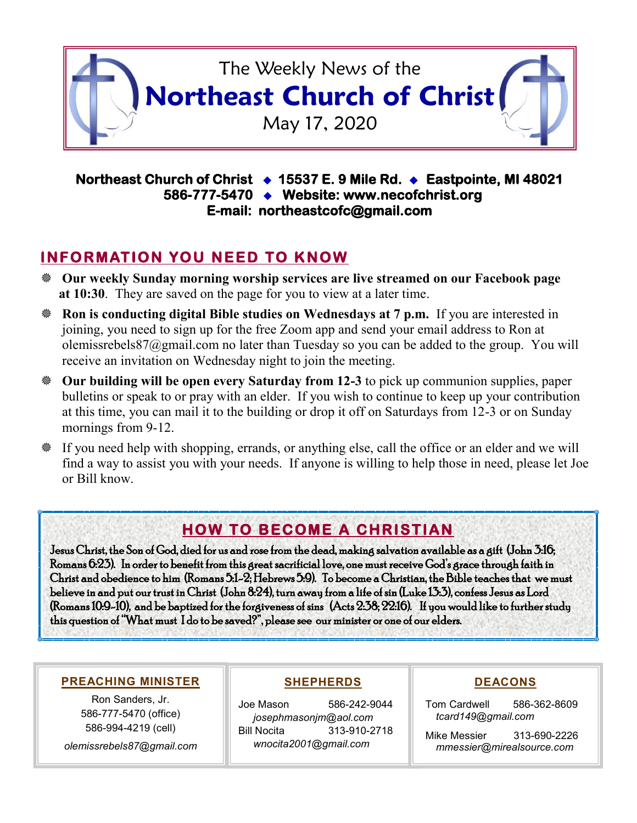

#### **Northeast Church of Christ 15537 E. 9 Mile Rd. Eastpointe, MI 48021 586-777-5470 Website: www.necofchrist.org E-mail: northeastcofc@gmail.com**

## **INFORMATION YOU NEED TO KNOW**

- **Our weekly Sunday morning worship services are live streamed on our Facebook page at 10:30**. They are saved on the page for you to view at a later time.
- **Ron is conducting digital Bible studies on Wednesdays at 7 p.m.** If you are interested in joining, you need to sign up for the free Zoom app and send your email address to Ron at olemissrebels87@gmail.com no later than Tuesday so you can be added to the group. You will receive an invitation on Wednesday night to join the meeting.
- **Our building will be open every Saturday from 12-3** to pick up communion supplies, paper bulletins or speak to or pray with an elder. If you wish to continue to keep up your contribution at this time, you can mail it to the building or drop it off on Saturdays from 12-3 or on Sunday mornings from 9-12.
- If you need help with shopping, errands, or anything else, call the office or an elder and we will find a way to assist you with your needs. If anyone is willing to help those in need, please let Joe or Bill know.

# **HOW TO BECOME A CHRISTIAN**

Jesus Christ, the Son of God, died for us and rose from the dead, making salvation available as a gift (John 3:16; Romans 6:23). In order to benefit from this great sacrificial love, one must receive God's grace through faith in Christ and obedience to him (Romans 5:1-2; Hebrews 5:9). To become a Christian, the Bible teaches that we must believe in and put our trust in Christ (John 8:24), turn away from a life of sin (Luke 13:3), confess Jesus as Lord (Romans 10:9-10), and be baptized for the forgiveness of sins (Acts 2:38; 22:16). If you would like to further study this question of "What must I do to be saved?", please see our minister or one of our elders.

#### **PREACHING MINISTER**

Ron Sanders, Jr. 586-777-5470 (office) 586-994-4219 (cell) *olemissrebels87@gmail.com*

#### **SHEPHERDS**

Joe Mason 586-242-9044 *josephmasonjm@aol.com* Bill Nocita 313-910-2718 *wnocita2001@gmail.com*

#### **DEACONS**

Tom Cardwell 586-362-8609 *tcard149@gmail.com*

Mike Messier 313-690-2226 *mmessier@mirealsource.com*